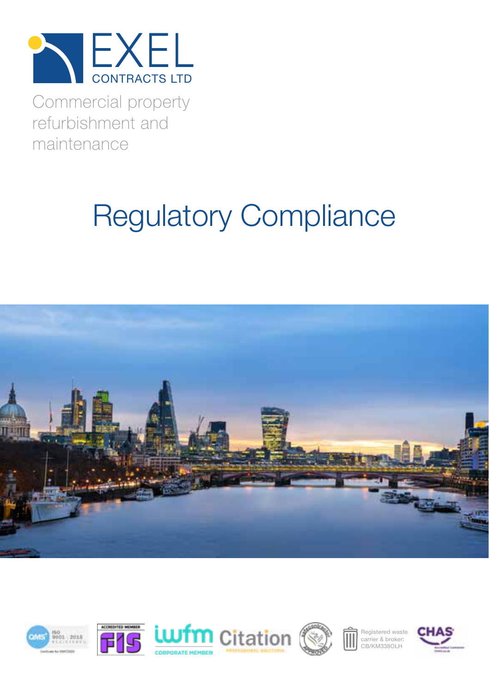

Commercial property refurbishment and maintenance

# Regulatory Compliance













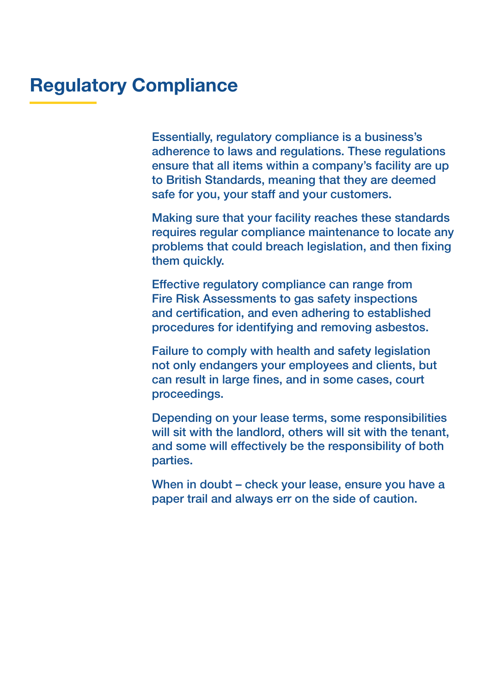#### Regulatory Compliance

Essentially, regulatory compliance is a business's adherence to laws and regulations. These regulations ensure that all items within a company's facility are up to British Standards, meaning that they are deemed safe for you, your staff and your customers.

Making sure that your facility reaches these standards requires regular compliance maintenance to locate any problems that could breach legislation, and then fixing them quickly.

Effective regulatory compliance can range from Fire Risk Assessments to gas safety inspections and certification, and even adhering to established procedures for identifying and removing asbestos.

Failure to comply with health and safety legislation not only endangers your employees and clients, but can result in large fines, and in some cases, court proceedings.

Depending on your lease terms, some responsibilities will sit with the landlord, others will sit with the tenant, and some will effectively be the responsibility of both parties.

When in doubt – check your lease, ensure you have a paper trail and always err on the side of caution.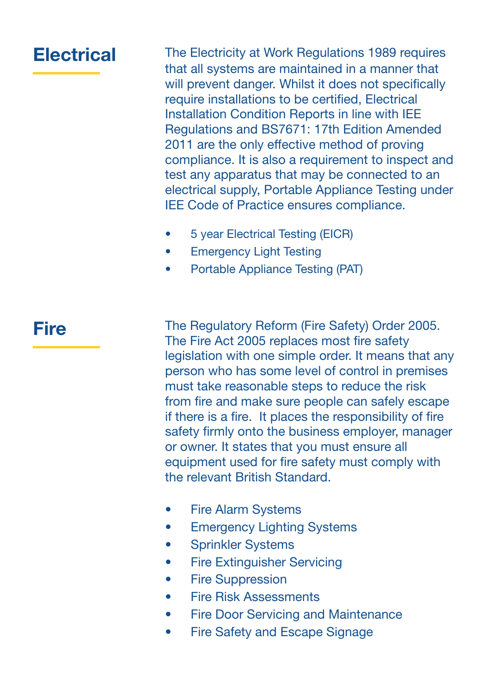#### **Electrical**

The Electricity at Work Regulations 1989 requires that all systems are maintained in a manner that will prevent danger. Whilst it does not specifically require installations to be certified, Electrical Installation Condition Reports in line with IEE Regulations and BS7671: 17th Edition Amended 2011 are the only effective method of proving compliance. It is also a requirement to inspect and test any apparatus that may be connected to an electrical supply, Portable Appliance Testing under IEE Code of Practice ensures compliance.

- 5 year Electrical Testing (EICR)
- Emergency Light Testing
- Portable Appliance Testing (PAT)

#### Fire

The Regulatory Reform (Fire Safety) Order 2005. The Fire Act 2005 replaces most fire safety legislation with one simple order. It means that any person who has some level of control in premises must take reasonable steps to reduce the risk from fire and make sure people can safely escape if there is a fire. It places the responsibility of fire safety firmly onto the business employer, manager or owner. It states that you must ensure all equipment used for fire safety must comply with the relevant British Standard.

- Fire Alarm Systems
- Emergency Lighting Systems
- Sprinkler Systems
- Fire Extinguisher Servicing
- Fire Suppression
- Fire Risk Assessments
- Fire Door Servicing and Maintenance
- Fire Safety and Escape Signage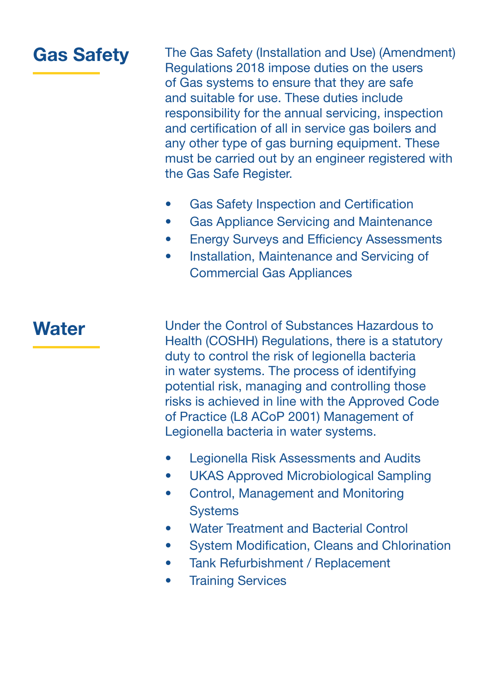#### Gas Safety

The Gas Safety (Installation and Use) (Amendment) Regulations 2018 impose duties on the users of Gas systems to ensure that they are safe and suitable for use. These duties include responsibility for the annual servicing, inspection and certification of all in service gas boilers and any other type of gas burning equipment. These must be carried out by an engineer registered with the Gas Safe Register.

- Gas Safety Inspection and Certification
- Gas Appliance Servicing and Maintenance
- Energy Surveys and Efficiency Assessments
- Installation, Maintenance and Servicing of Commercial Gas Appliances

#### **Water**

Under the Control of Substances Hazardous to Health (COSHH) Regulations, there is a statutory duty to control the risk of legionella bacteria in water systems. The process of identifying potential risk, managing and controlling those risks is achieved in line with the Approved Code of Practice (L8 ACoP 2001) Management of Legionella bacteria in water systems.

- Legionella Risk Assessments and Audits
- UKAS Approved Microbiological Sampling
- Control, Management and Monitoring **Systems**
- Water Treatment and Bacterial Control
- System Modification, Cleans and Chlorination
- Tank Refurbishment / Replacement
- Training Services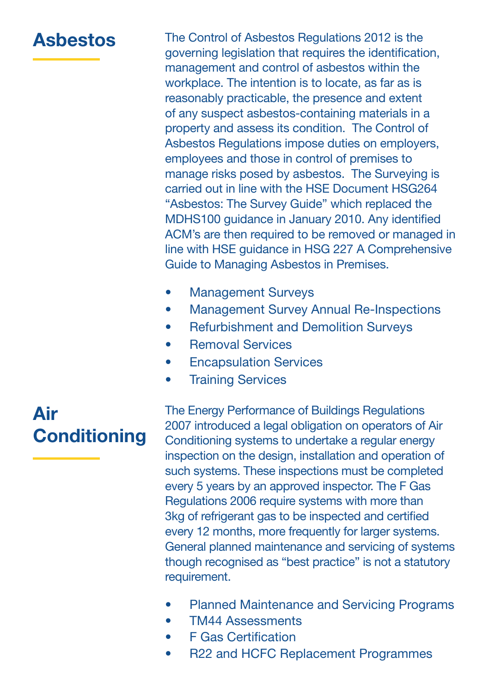#### Asbestos

The Control of Asbestos Regulations 2012 is the governing legislation that requires the identification, management and control of asbestos within the workplace. The intention is to locate, as far as is reasonably practicable, the presence and extent of any suspect asbestos-containing materials in a property and assess its condition. The Control of Asbestos Regulations impose duties on employers, employees and those in control of premises to manage risks posed by asbestos. The Surveying is carried out in line with the HSE Document HSG264 "Asbestos: The Survey Guide" which replaced the MDHS100 guidance in January 2010. Any identified ACM's are then required to be removed or managed in line with HSE guidance in HSG 227 A Comprehensive Guide to Managing Asbestos in Premises.

- Management Surveys
- Management Survey Annual Re-Inspections
- Refurbishment and Demolition Surveys
- Removal Services
- Encapsulation Services
- Training Services

### Air **Conditioning**

The Energy Performance of Buildings Regulations 2007 introduced a legal obligation on operators of Air Conditioning systems to undertake a regular energy inspection on the design, installation and operation of such systems. These inspections must be completed every 5 years by an approved inspector. The F Gas Regulations 2006 require systems with more than 3kg of refrigerant gas to be inspected and certified every 12 months, more frequently for larger systems. General planned maintenance and servicing of systems though recognised as "best practice" is not a statutory requirement.

- Planned Maintenance and Servicing Programs
- TM44 Assessments
- F Gas Certification
- R22 and HCFC Replacement Programmes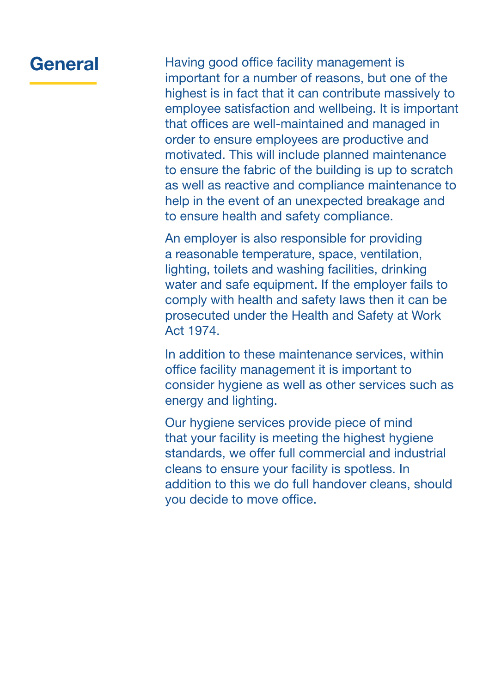#### General

Having good office facility management is important for a number of reasons, but one of the highest is in fact that it can contribute massively to employee satisfaction and wellbeing. It is important that offices are well-maintained and managed in order to ensure employees are productive and motivated. This will include planned maintenance to ensure the fabric of the building is up to scratch as well as reactive and compliance maintenance to help in the event of an unexpected breakage and to ensure health and safety compliance.

An employer is also responsible for providing a reasonable temperature, space, ventilation, lighting, toilets and washing facilities, drinking water and safe equipment. If the employer fails to comply with health and safety laws then it can be prosecuted under the Health and Safety at Work Act 1974.

In addition to these maintenance services, within office facility management it is important to consider hygiene as well as other services such as energy and lighting.

Our hygiene services provide piece of mind that your facility is meeting the highest hygiene standards, we offer full commercial and industrial cleans to ensure your facility is spotless. In addition to this we do full handover cleans, should you decide to move office.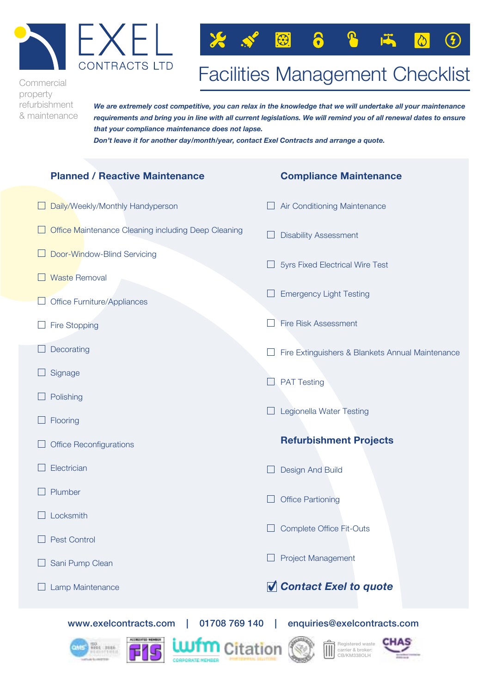



## Facilities Management Checklist Facilities Management Checklist

Commercial Commercial property property refurbishment refurbishment & maintenance & maintenance

.<br>We are extremely cost competitive, you can relax in the knowledge that we will undertake all your maintenance .<br>requirements and bring you in line with all current legislations. We will remind you of all renewal dates to ensure *that your compliance maintenance does not lapse. that your compliance maintenance does not lapse.*

*Don't leave it for another day/month/year, contact Exel Contracts and arrange a quote. Don't leave it for another day/month/year, contact Exel Contracts and arrange a quote.*

#### **Planned / Reactive Maintenance Planned / Reactive Maintenance** Daily/Weekly/Monthly Handyperson Daily/Weekly/Monthly Handyperson Office Maintenance Cleaning including Deep Cleaning Office Maintenance Cleaning including Deep Cleaning Door-Window-Blind Servicing Door-Window-Blind Servicing Waste Removal Waste Removal Office Furniture/Appliances Office Furniture/Appliances Fire Stopping Fire Stopping Decorating Decorating Signage Signage Polishing Polishing Flooring Flooring Office Reconfigurations Office Reconfigurations Electrician Electrician Plumber Plumber Locksmith Locksmith Pest Control Pest Control Sani Pump Clean Sani Pump Clean Lamp Maintenance Lamp Maintenance **Compliance Maintenance Compliance Maintenance** Air Conditioning Maintenance Air Conditioning Maintenance Disability Assessment Disability Assessment 5yrs Fixed Electrical Wire Test 5yrs Fixed Electrical Wire Test Emergency Light Testing Emergency Light Testing Fire Risk Assessment Fire Risk Assessment Fire Extinguishers & Blankets Annual Maintenance Fire Extinguishers & Blankets Annual Maintenance PAT Testing PAT Testing Legionella Water Testing Legionella Water Testing **Refurbishment Projects Refurbishment Projects** Design And Build Design And Build Office Partioning Office Partioning Complete Office Fit-Outs Complete Office Fit-Outs Project Management Project Management ✔*Contact Exel to quote* ✔*Contact Exel to quote*

www.exelcontracts.com | 01708 769 140 | enquiries@exelcontracts.com www.exelcontracts.com | 01708 769 140 | enquiries@exelcontracts.com